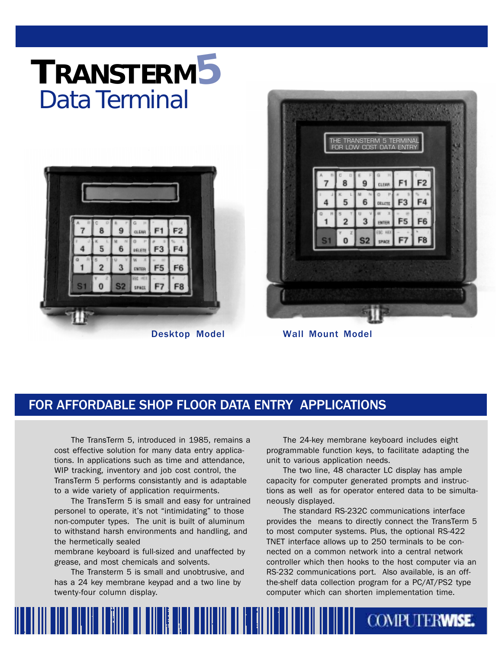# **TRANSTERM5** Data Terminal



Desktop Model



Wall Mount Model

### FOR AFFORDABLE SHOP FLOOR DATA ENTRY APPLICATIONS

The TransTerm 5, introduced in 1985, remains a cost effective solution for many data entry applications. In applications such as time and attendance, WIP tracking, inventory and job cost control, the TransTerm 5 performs consistantly and is adaptable to a wide variety of application requirments.

The TransTerm 5 is small and easy for untrained personel to operate, it's not "intimidating" to those non-computer types. The unit is built of aluminum to withstand harsh environments and handling, and the hermetically sealed

membrane keyboard is full-sized and unaffected by grease, and most chemicals and solvents.

The Transterm 5 is small and unobtrusive, and has a 24 key membrane keypad and a two line by twenty-four column display.

The 24-key membrane keyboard includes eight programmable function keys, to facilitate adapting the unit to various application needs.

The two line, 48 character LC display has ample capacity for computer generated prompts and instructions as well as for operator entered data to be simultaneously displayed.

The standard RS-232C communications interface provides the means to directly connect the TransTerm 5 to most computer systems. Plus, the optional RS-422 TNET interface allows up to 250 terminals to be connected on a common network into a central network controller which then hooks to the host computer via an RS-232 communications port. Also available, is an offthe-shelf data collection program for a PC/AT/PS2 type computer which can shorten implementation time.

**COMPUTERWISE.**